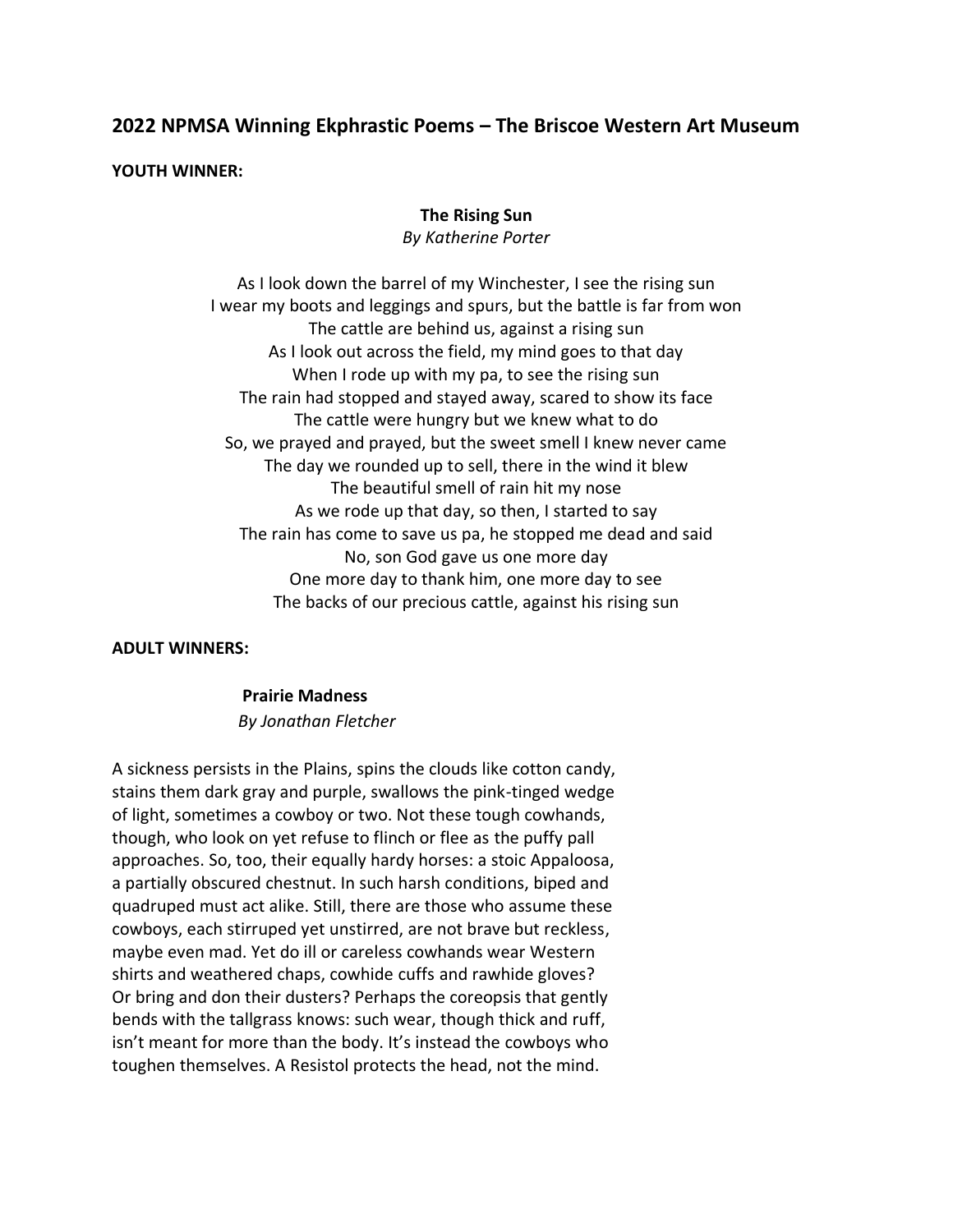# **2022 NPMSA Winning Ekphrastic Poems – The Briscoe Western Art Museum**

#### **YOUTH WINNER:**

#### **The Rising Sun**

*By Katherine Porter*

As I look down the barrel of my Winchester, I see the rising sun I wear my boots and leggings and spurs, but the battle is far from won The cattle are behind us, against a rising sun As I look out across the field, my mind goes to that day When I rode up with my pa, to see the rising sun The rain had stopped and stayed away, scared to show its face The cattle were hungry but we knew what to do So, we prayed and prayed, but the sweet smell I knew never came The day we rounded up to sell, there in the wind it blew The beautiful smell of rain hit my nose As we rode up that day, so then, I started to say The rain has come to save us pa, he stopped me dead and said No, son God gave us one more day One more day to thank him, one more day to see The backs of our precious cattle, against his rising sun

#### **ADULT WINNERS:**

# **Prairie Madness** *By Jonathan Fletcher*

A sickness persists in the Plains, spins the clouds like cotton candy, stains them dark gray and purple, swallows the pink-tinged wedge of light, sometimes a cowboy or two. Not these tough cowhands, though, who look on yet refuse to flinch or flee as the puffy pall approaches. So, too, their equally hardy horses: a stoic Appaloosa, a partially obscured chestnut. In such harsh conditions, biped and quadruped must act alike. Still, there are those who assume these cowboys, each stirruped yet unstirred, are not brave but reckless, maybe even mad. Yet do ill or careless cowhands wear Western shirts and weathered chaps, cowhide cuffs and rawhide gloves? Or bring and don their dusters? Perhaps the coreopsis that gently bends with the tallgrass knows: such wear, though thick and ruff, isn't meant for more than the body. It's instead the cowboys who toughen themselves. A Resistol protects the head, not the mind.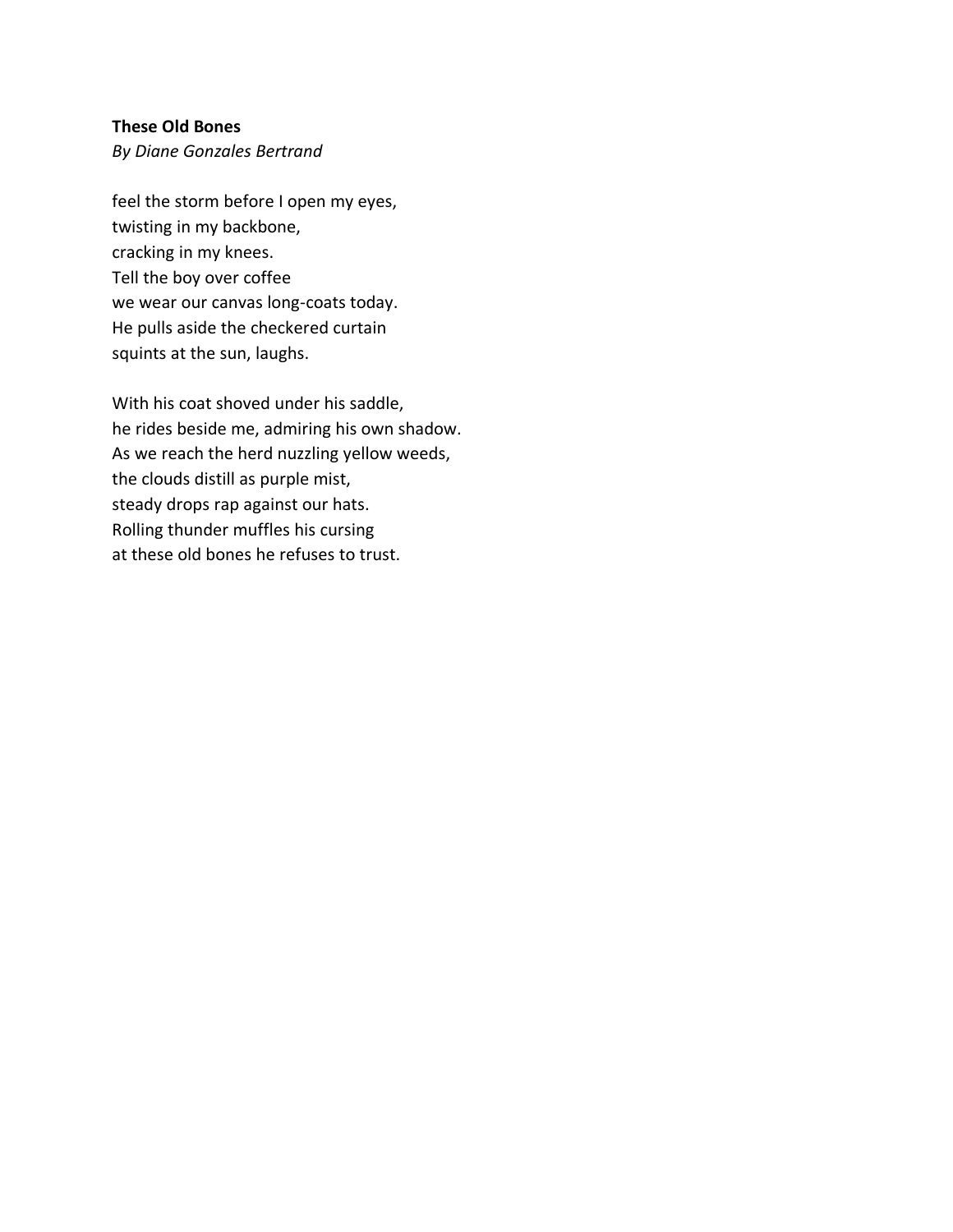# **These Old Bones**

*By Diane Gonzales Bertrand*

feel the storm before I open my eyes, twisting in my backbone, cracking in my knees. Tell the boy over coffee we wear our canvas long-coats today. He pulls aside the checkered curtain squints at the sun, laughs.

With his coat shoved under his saddle, he rides beside me, admiring his own shadow. As we reach the herd nuzzling yellow weeds, the clouds distill as purple mist, steady drops rap against our hats. Rolling thunder muffles his cursing at these old bones he refuses to trust.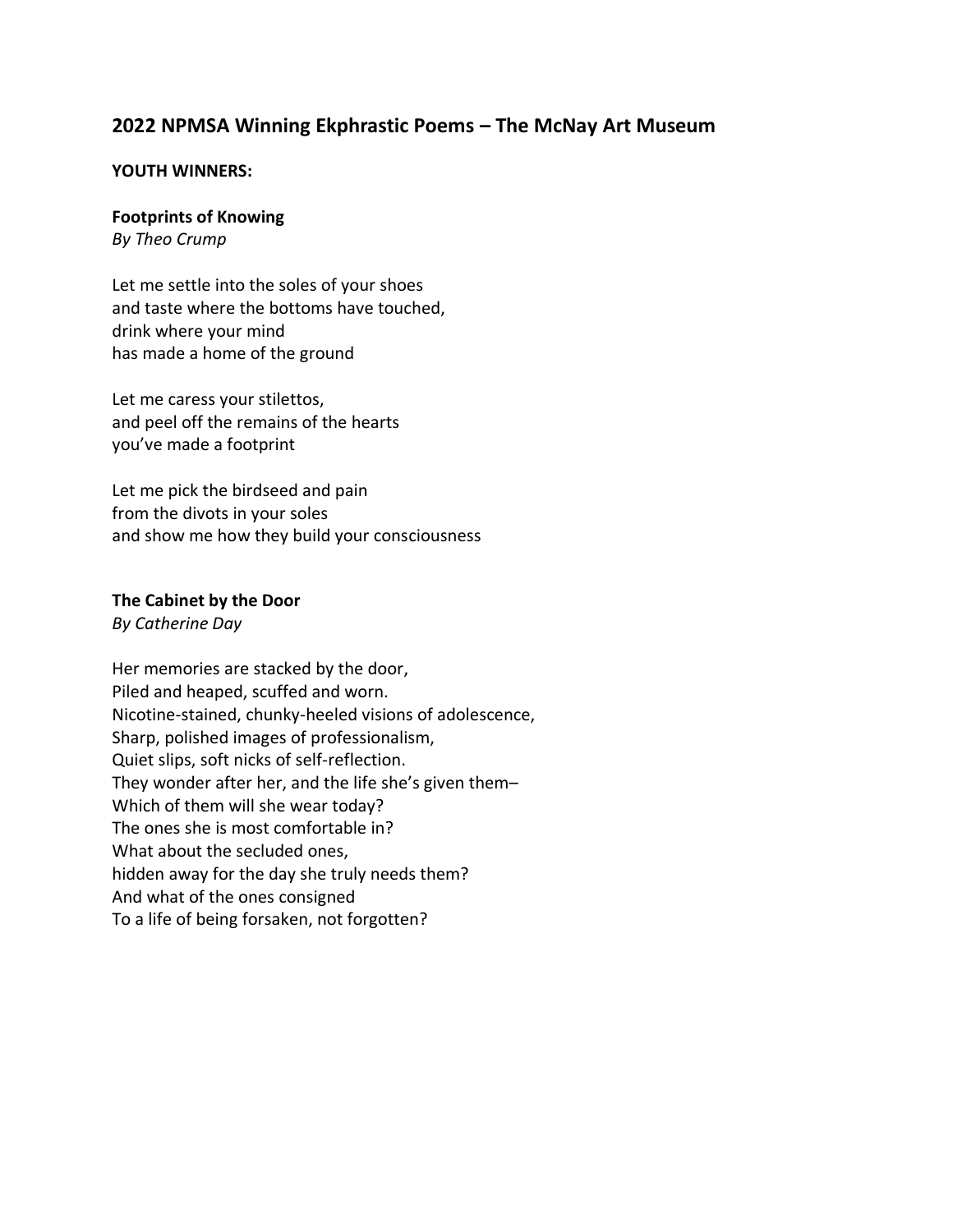# **2022 NPMSA Winning Ekphrastic Poems – The McNay Art Museum**

#### **YOUTH WINNERS:**

#### **Footprints of Knowing**

*By Theo Crump*

Let me settle into the soles of your shoes and taste where the bottoms have touched, drink where your mind has made a home of the ground

Let me caress your stilettos, and peel off the remains of the hearts you've made a footprint

Let me pick the birdseed and pain from the divots in your soles and show me how they build your consciousness

#### **The Cabinet by the Door**

*By Catherine Day*

Her memories are stacked by the door, Piled and heaped, scuffed and worn. Nicotine-stained, chunky-heeled visions of adolescence, Sharp, polished images of professionalism, Quiet slips, soft nicks of self-reflection. They wonder after her, and the life she's given them– Which of them will she wear today? The ones she is most comfortable in? What about the secluded ones, hidden away for the day she truly needs them? And what of the ones consigned To a life of being forsaken, not forgotten?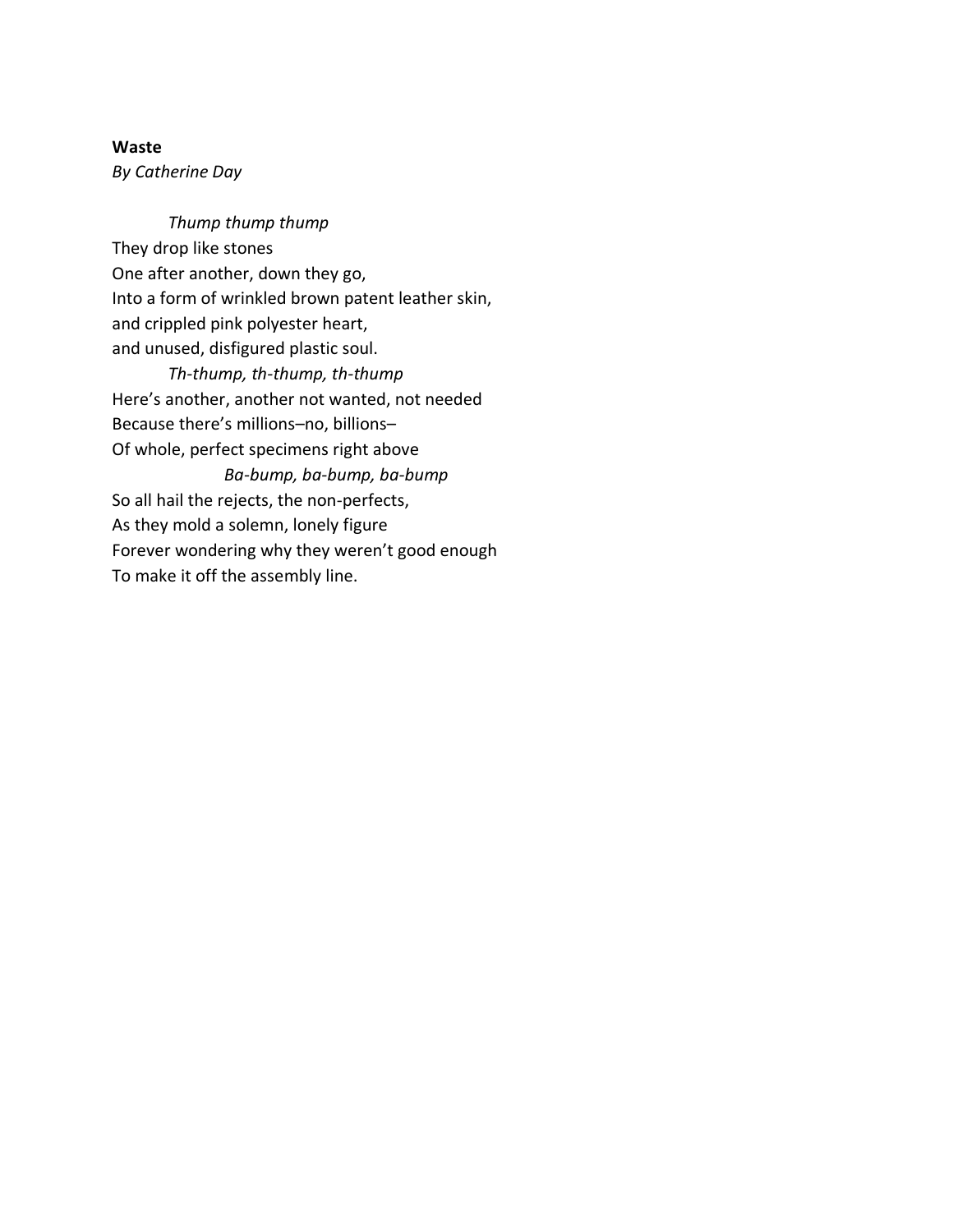# **Waste**

*By Catherine Day*

*Thump thump thump* They drop like stones One after another, down they go, Into a form of wrinkled brown patent leather skin, and crippled pink polyester heart, and unused, disfigured plastic soul.

*Th-thump, th-thump, th-thump* Here's another, another not wanted, not needed Because there's millions–no, billions– Of whole, perfect specimens right above *Ba-bump, ba-bump, ba-bump* So all hail the rejects, the non-perfects, As they mold a solemn, lonely figure Forever wondering why they weren't good enough To make it off the assembly line.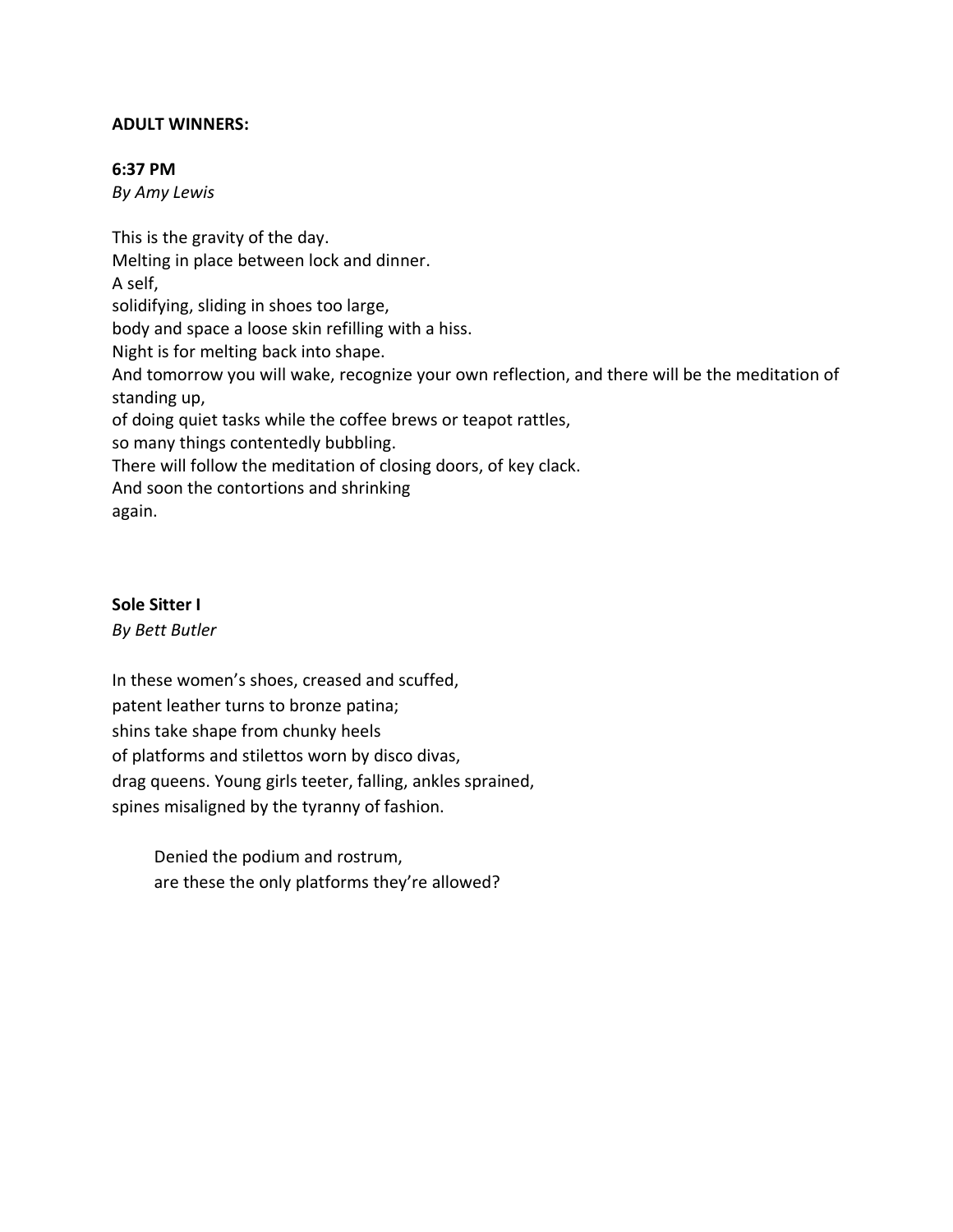# **ADULT WINNERS:**

#### **6:37 PM**

*By Amy Lewis*

This is the gravity of the day. Melting in place between lock and dinner. A self, solidifying, sliding in shoes too large, body and space a loose skin refilling with a hiss. Night is for melting back into shape. And tomorrow you will wake, recognize your own reflection, and there will be the meditation of standing up, of doing quiet tasks while the coffee brews or teapot rattles, so many things contentedly bubbling. There will follow the meditation of closing doors, of key clack. And soon the contortions and shrinking again.

# **Sole Sitter I**

*By Bett Butler*

In these women's shoes, creased and scuffed, patent leather turns to bronze patina; shins take shape from chunky heels of platforms and stilettos worn by disco divas, drag queens. Young girls teeter, falling, ankles sprained, spines misaligned by the tyranny of fashion.

Denied the podium and rostrum, are these the only platforms they're allowed?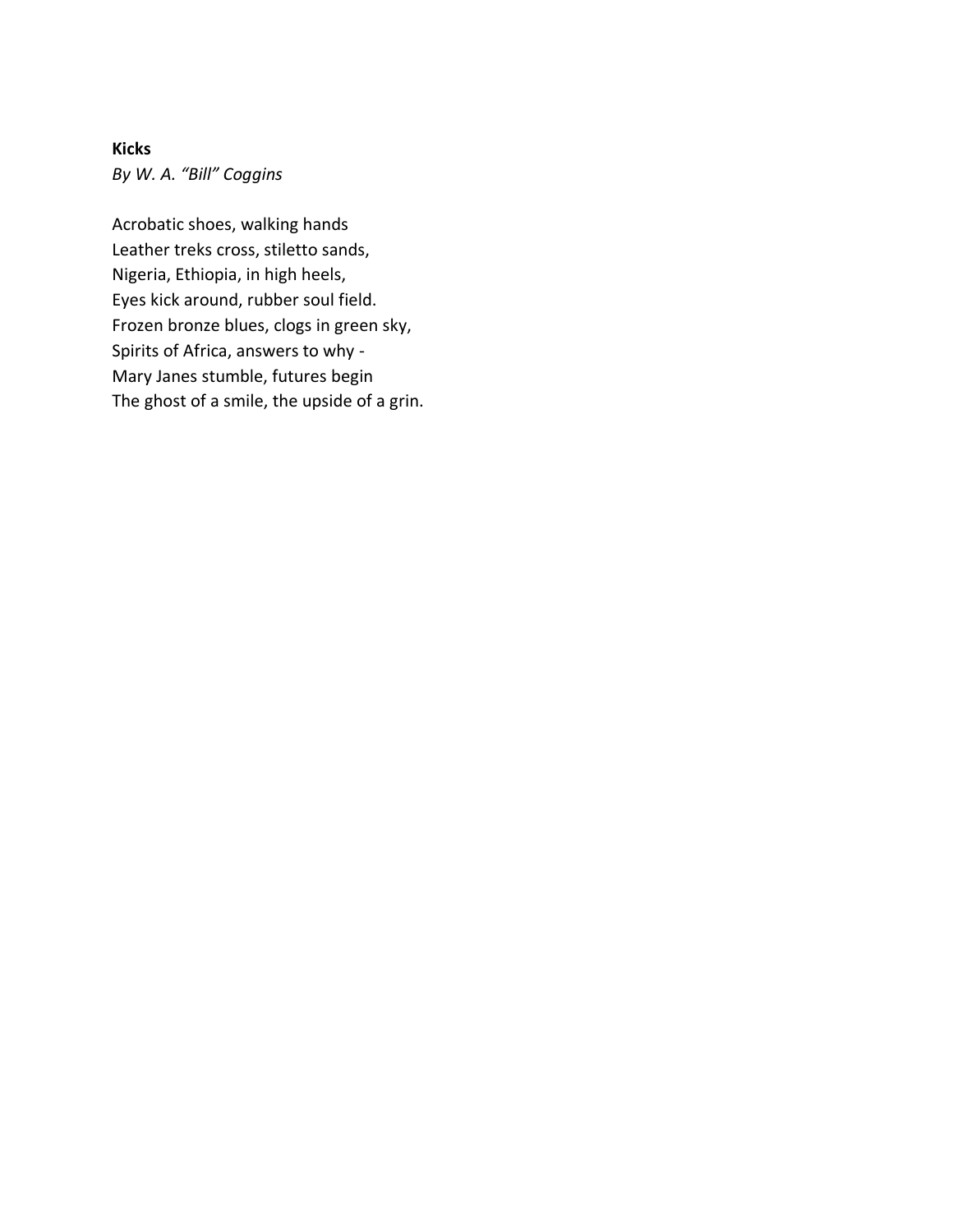**Kicks** *By W. A. "Bill" Coggins*

Acrobatic shoes, walking hands Leather treks cross, stiletto sands, Nigeria, Ethiopia, in high heels, Eyes kick around, rubber soul field. Frozen bronze blues, clogs in green sky, Spirits of Africa, answers to why - Mary Janes stumble, futures begin The ghost of a smile, the upside of a grin.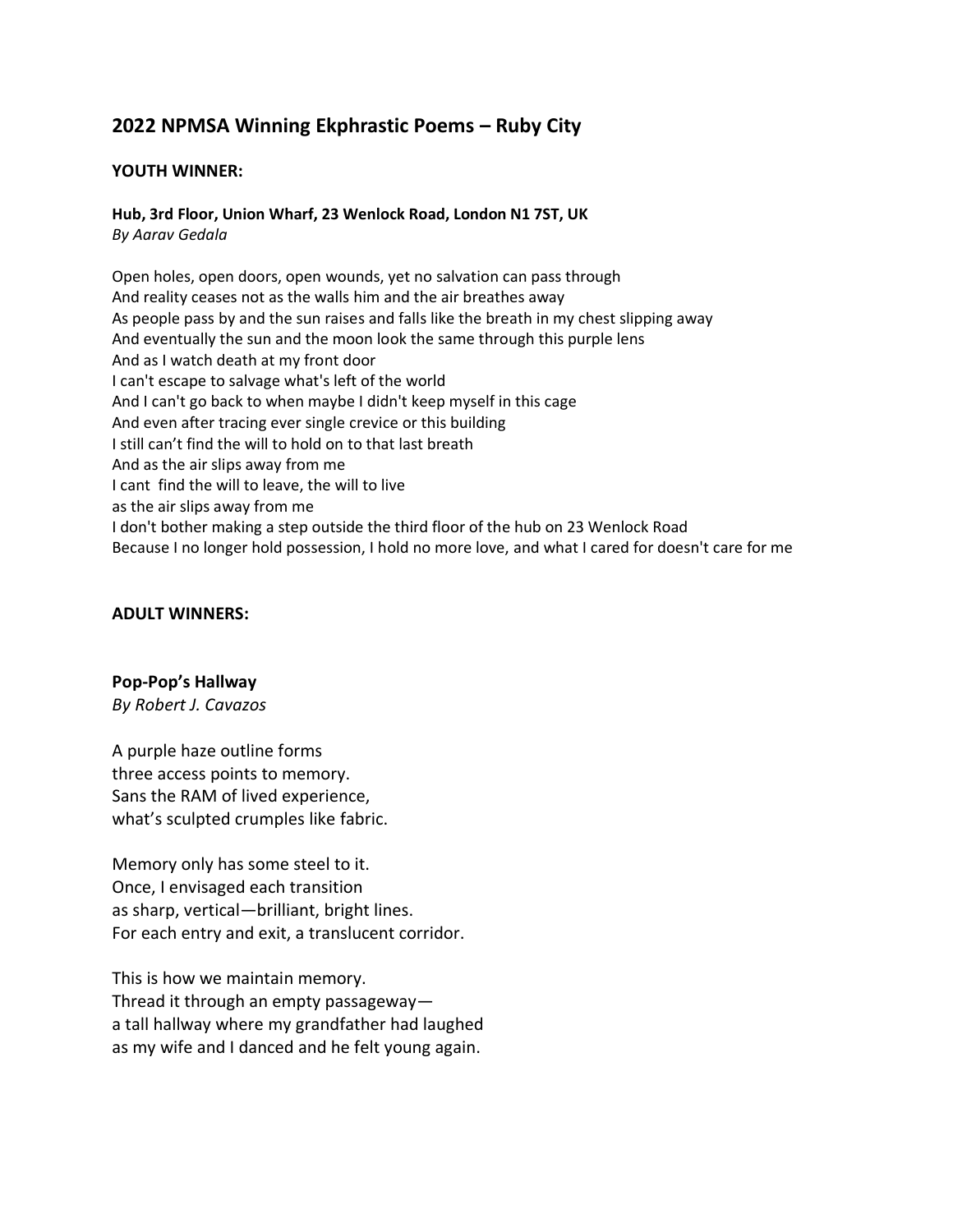# **2022 NPMSA Winning Ekphrastic Poems – Ruby City**

#### **YOUTH WINNER:**

# **Hub, 3rd Floor, Union Wharf, 23 Wenlock Road, London N1 7ST, UK**

*By Aarav Gedala*

Open holes, open doors, open wounds, yet no salvation can pass through And reality ceases not as the walls him and the air breathes away As people pass by and the sun raises and falls like the breath in my chest slipping away And eventually the sun and the moon look the same through this purple lens And as I watch death at my front door I can't escape to salvage what's left of the world And I can't go back to when maybe I didn't keep myself in this cage And even after tracing ever single crevice or this building I still can't find the will to hold on to that last breath And as the air slips away from me I cant find the will to leave, the will to live as the air slips away from me I don't bother making a step outside the third floor of the hub on 23 Wenlock Road Because I no longer hold possession, I hold no more love, and what I cared for doesn't care for me

#### **ADULT WINNERS:**

#### **Pop-Pop's Hallway**

*By Robert J. Cavazos*

A purple haze outline forms three access points to memory. Sans the RAM of lived experience, what's sculpted crumples like fabric.

Memory only has some steel to it. Once, I envisaged each transition as sharp, vertical—brilliant, bright lines. For each entry and exit, a translucent corridor.

This is how we maintain memory. Thread it through an empty passageway a tall hallway where my grandfather had laughed as my wife and I danced and he felt young again.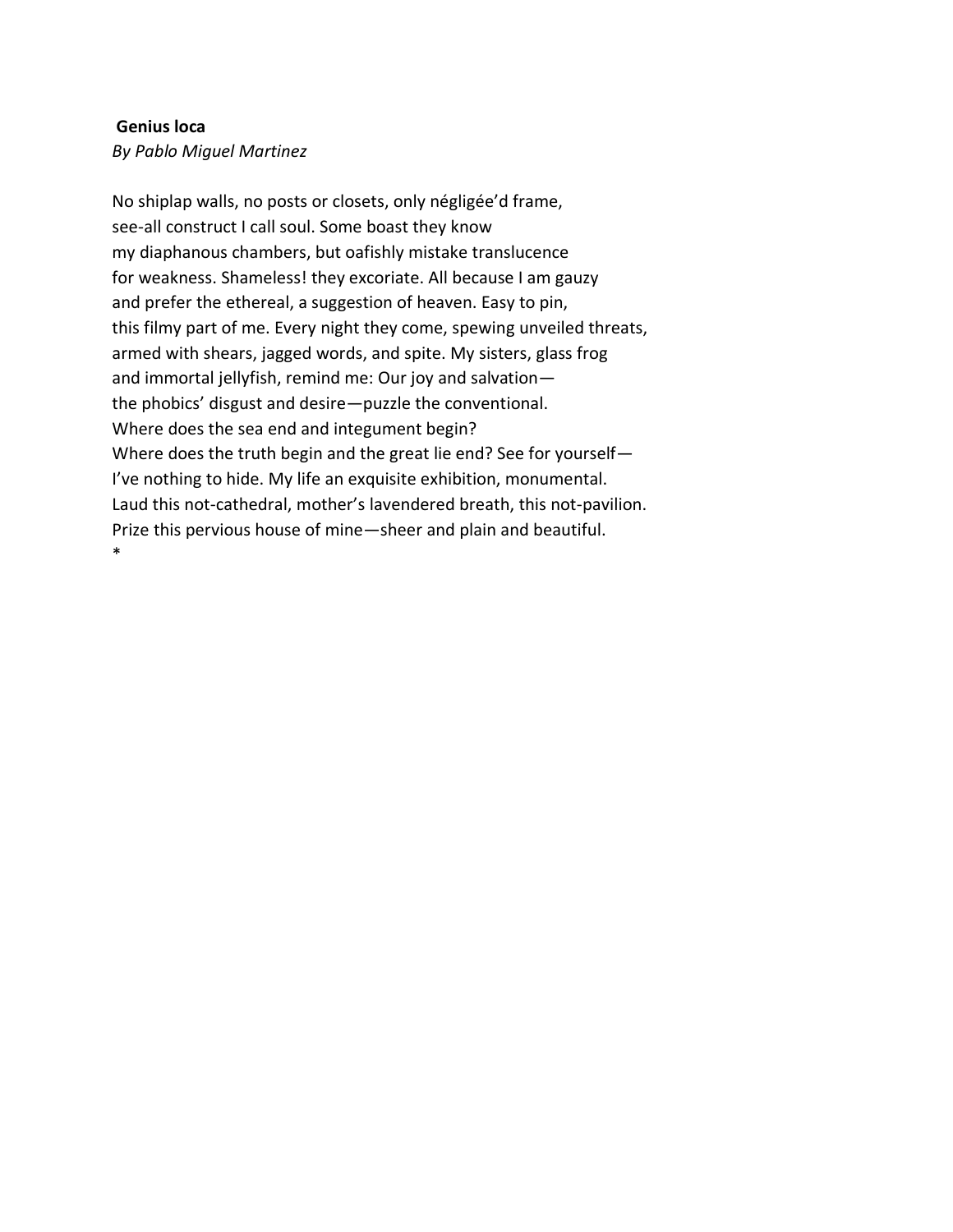#### **Genius loca**

*By Pablo Miguel Martinez*

No shiplap walls, no posts or closets, only négligée'd frame, see-all construct I call soul. Some boast they know my diaphanous chambers, but oafishly mistake translucence for weakness. Shameless! they excoriate. All because I am gauzy and prefer the ethereal, a suggestion of heaven. Easy to pin, this filmy part of me. Every night they come, spewing unveiled threats, armed with shears, jagged words, and spite. My sisters, glass frog and immortal jellyfish, remind me: Our joy and salvation the phobics' disgust and desire—puzzle the conventional. Where does the sea end and integument begin? Where does the truth begin and the great lie end? See for yourself— I've nothing to hide. My life an exquisite exhibition, monumental. Laud this not-cathedral, mother's lavendered breath, this not-pavilion. Prize this pervious house of mine—sheer and plain and beautiful. \*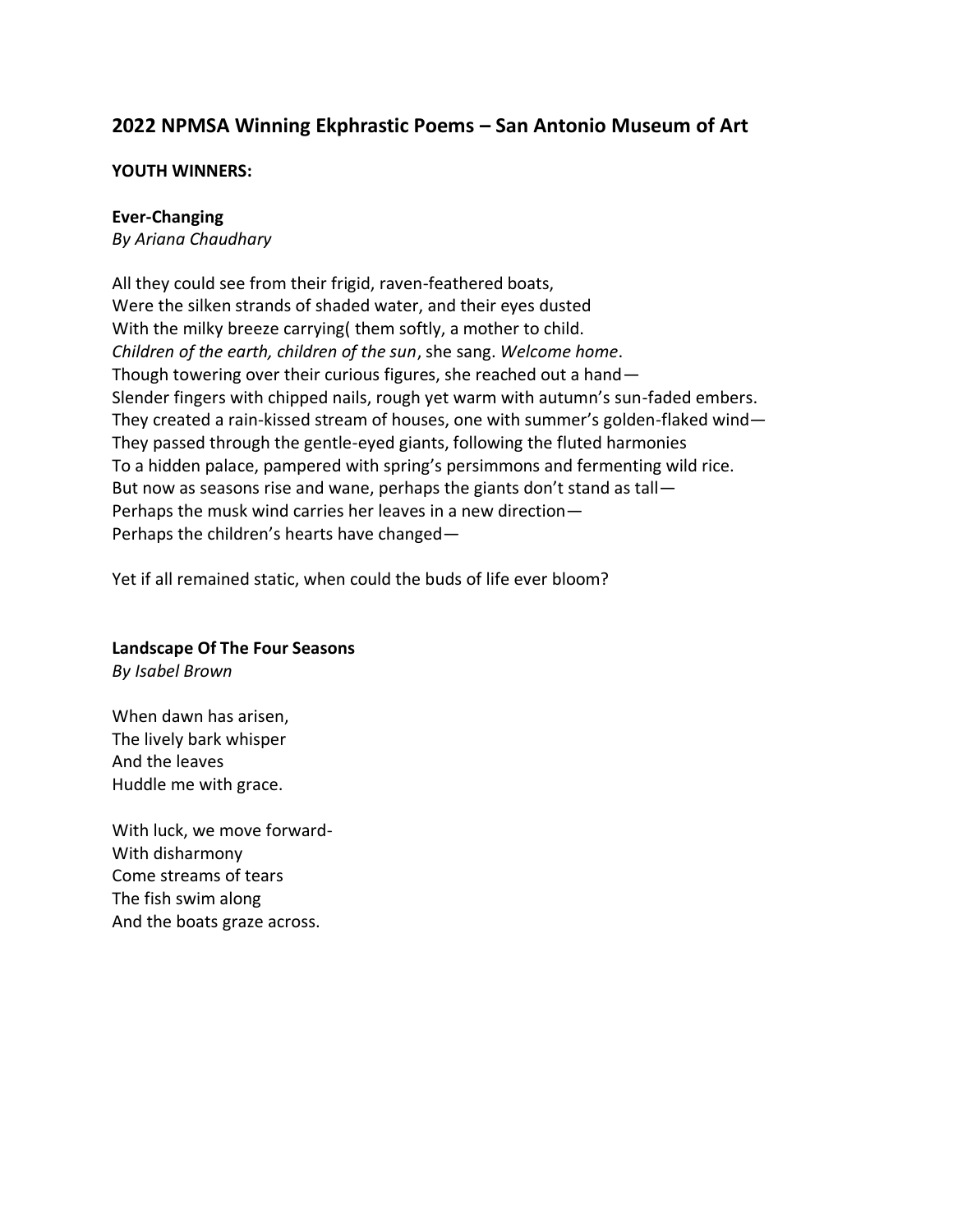# **2022 NPMSA Winning Ekphrastic Poems – San Antonio Museum of Art**

## **YOUTH WINNERS:**

## **Ever-Changing**

*By Ariana Chaudhary*

All they could see from their frigid, raven-feathered boats, Were the silken strands of shaded water, and their eyes dusted With the milky breeze carrying( them softly, a mother to child. *Children of the earth, children of the sun*, she sang. *Welcome home*. Though towering over their curious figures, she reached out a hand— Slender fingers with chipped nails, rough yet warm with autumn's sun-faded embers. They created a rain-kissed stream of houses, one with summer's golden-flaked wind— They passed through the gentle-eyed giants, following the fluted harmonies To a hidden palace, pampered with spring's persimmons and fermenting wild rice. But now as seasons rise and wane, perhaps the giants don't stand as tall— Perhaps the musk wind carries her leaves in a new direction— Perhaps the children's hearts have changed—

Yet if all remained static, when could the buds of life ever bloom?

# **Landscape Of The Four Seasons**

*By Isabel Brown*

When dawn has arisen, The lively bark whisper And the leaves Huddle me with grace.

With luck, we move forward-With disharmony Come streams of tears The fish swim along And the boats graze across.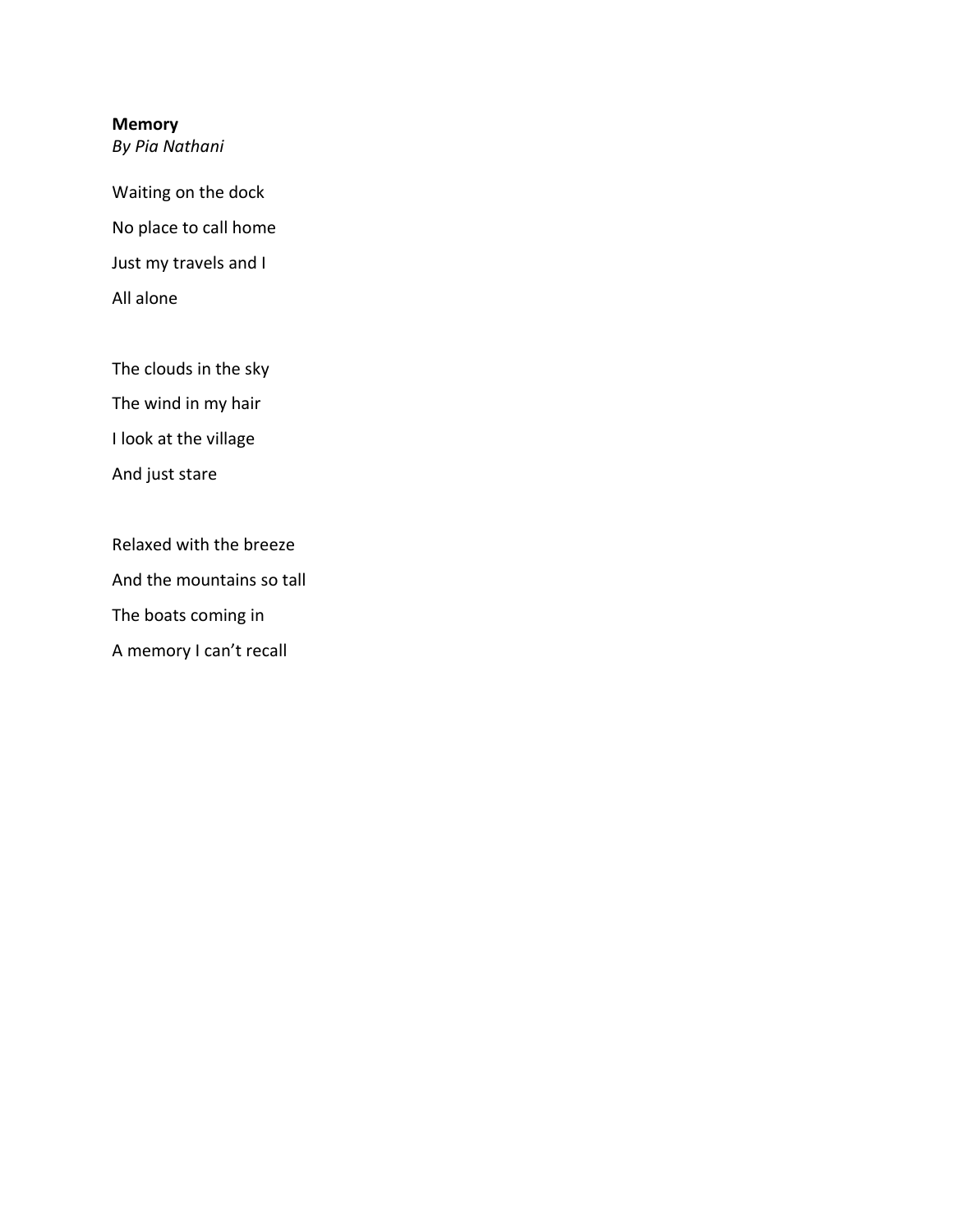# **Memory**

*By Pia Nathani*

Waiting on the dock No place to call home Just my travels and I All alone

The clouds in the sky The wind in my hair I look at the village And just stare

Relaxed with the breeze And the mountains so tall The boats coming in A memory I can't recall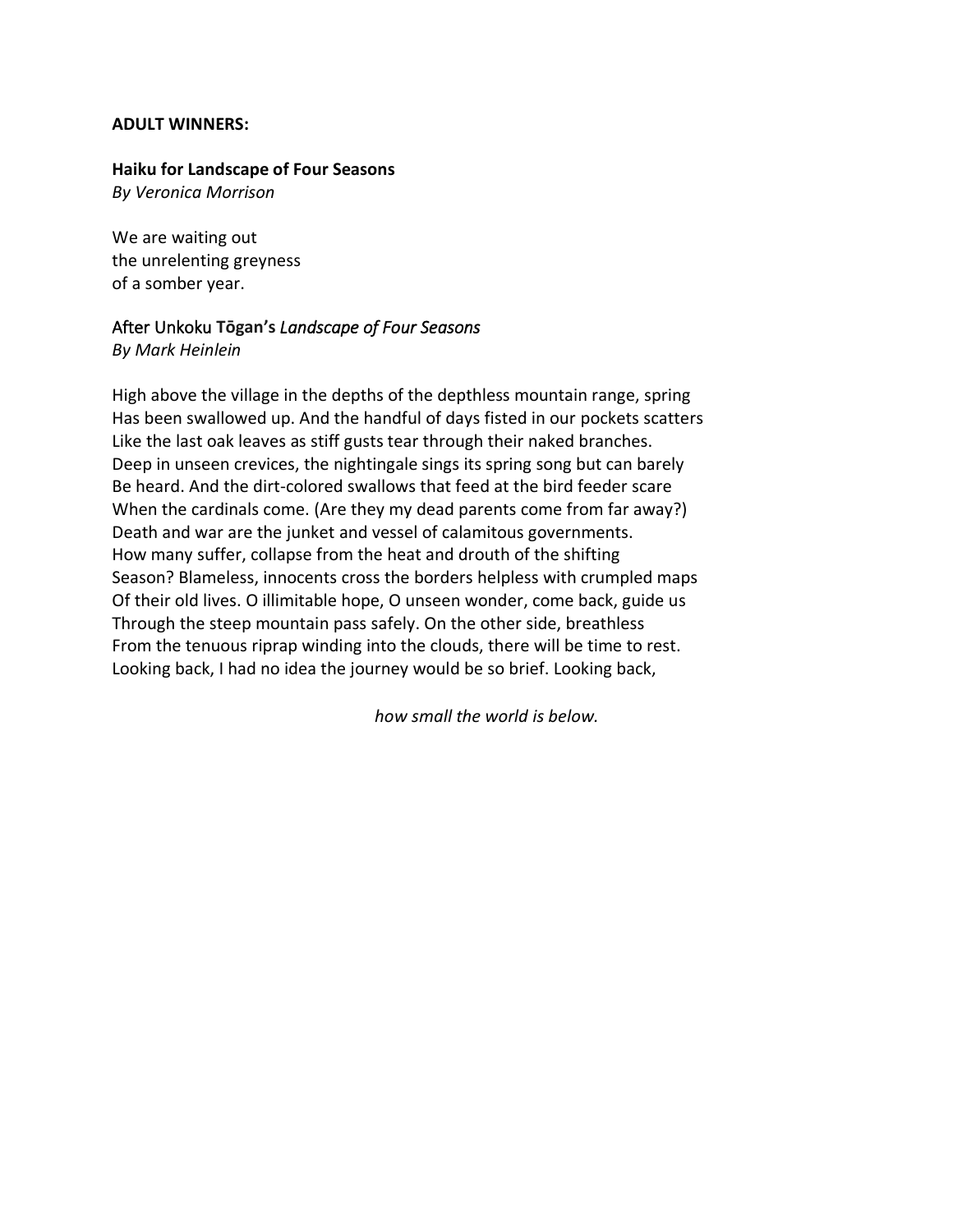#### **ADULT WINNERS:**

#### **Haiku for Landscape of Four Seasons**

*By Veronica Morrison*

We are waiting out the unrelenting greyness of a somber year.

# After Unkoku **Tōgan's** *Landscape of Four Seasons By Mark Heinlein*

High above the village in the depths of the depthless mountain range, spring Has been swallowed up. And the handful of days fisted in our pockets scatters Like the last oak leaves as stiff gusts tear through their naked branches. Deep in unseen crevices, the nightingale sings its spring song but can barely Be heard. And the dirt-colored swallows that feed at the bird feeder scare When the cardinals come. (Are they my dead parents come from far away?) Death and war are the junket and vessel of calamitous governments. How many suffer, collapse from the heat and drouth of the shifting Season? Blameless, innocents cross the borders helpless with crumpled maps Of their old lives. O illimitable hope, O unseen wonder, come back, guide us Through the steep mountain pass safely. On the other side, breathless From the tenuous riprap winding into the clouds, there will be time to rest. Looking back, I had no idea the journey would be so brief. Looking back,

*how small the world is below.*